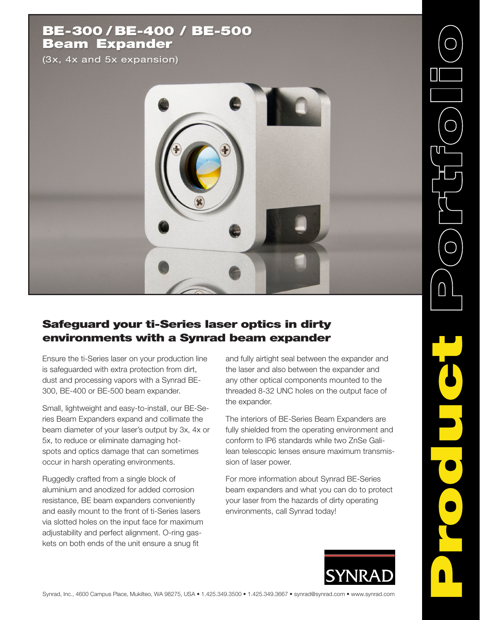## BE-300 / BE-400 / BE-500 Beam Expander

(3x, 4x and 5x expansion)



## Safeguard your ti-Series laser optics in dirty environments with a Synrad beam expander

Ensure the ti-Series laser on your production line is safeguarded with extra protection from dirt, dust and processing vapors with a Synrad BE-300, BE-400 or BE-500 beam expander.

Small, lightweight and easy-to-install, our BE-Series Beam Expanders expand and collimate the beam diameter of your laser's output by 3x, 4x or 5x, to reduce or eliminate damaging hotspots and optics damage that can sometimes occur in harsh operating environments.

Ruggedly crafted from a single block of aluminium and anodized for added corrosion resistance, BE beam expanders conveniently and easily mount to the front of ti-Series lasers via slotted holes on the input face for maximum adjustability and perfect alignment. O-ring gaskets on both ends of the unit ensure a snug fit

and fully airtight seal between the expander and the laser and also between the expander and any other optical components mounted to the threaded 8-32 UNC holes on the output face of the expander.

The interiors of BE-Series Beam Expanders are fully shielded from the operating environment and conform to IP6 standards while two ZnSe Galilean telescopic lenses ensure maximum transmission of laser power.

For more information about Synrad BE-Series beam expanders and what you can do to protect your laser from the hazards of dirty operating environments, call Synrad today!